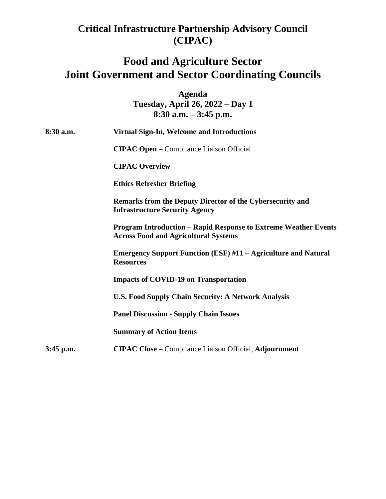## **Critical Infrastructure Partnership Advisory Council (CIPAC)**

## **Food and Agriculture Sector Joint Government and Sector Coordinating Councils**

**Agenda Tuesday, April 26, 2022 – Day 1 8:30 a.m. – 3:45 p.m.** 

| 8:30 a.m.   | Virtual Sign-In, Welcome and Introductions                                                                            |
|-------------|-----------------------------------------------------------------------------------------------------------------------|
|             | <b>CIPAC Open</b> – Compliance Liaison Official                                                                       |
|             | <b>CIPAC Overview</b>                                                                                                 |
|             | <b>Ethics Refresher Briefing</b>                                                                                      |
|             | Remarks from the Deputy Director of the Cybersecurity and<br><b>Infrastructure Security Agency</b>                    |
|             | <b>Program Introduction - Rapid Response to Extreme Weather Events</b><br><b>Across Food and Agricultural Systems</b> |
|             | <b>Emergency Support Function (ESF) #11 – Agriculture and Natural</b><br><b>Resources</b>                             |
|             | <b>Impacts of COVID-19 on Transportation</b>                                                                          |
|             | <b>U.S. Food Supply Chain Security: A Network Analysis</b>                                                            |
|             | <b>Panel Discussion - Supply Chain Issues</b>                                                                         |
|             | <b>Summary of Action Items</b>                                                                                        |
| $3:45$ p.m. | <b>CIPAC Close</b> – Compliance Liaison Official, Adjournment                                                         |